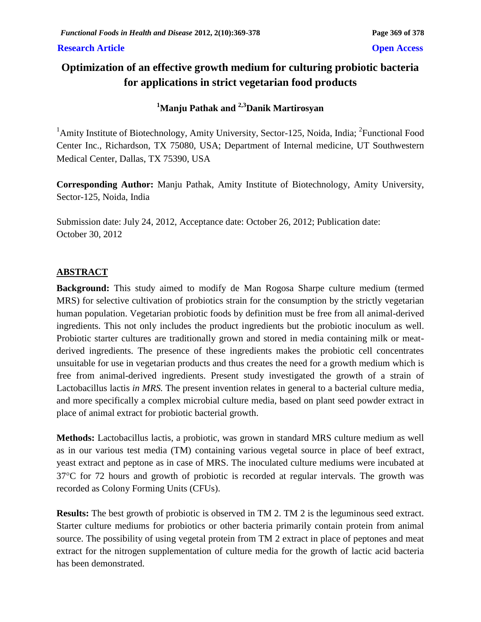### **Research Article Open Access**

# **Optimization of an effective growth medium for culturing probiotic bacteria for applications in strict vegetarian food products**

# **<sup>1</sup>Manju Pathak and 2,3Danik Martirosyan**

<sup>1</sup>Amity Institute of Biotechnology, Amity University, Sector-125, Noida, India; <sup>2</sup>Functional Food Center Inc., Richardson, TX 75080, USA; Department of Internal medicine, UT Southwestern Medical Center, Dallas, TX 75390, USA

**Corresponding Author:** Manju Pathak, Amity Institute of Biotechnology, Amity University, Sector-125, Noida, India

Submission date: July 24, 2012, Acceptance date: October 26, 2012; Publication date: October 30, 2012

# **ABSTRACT**

**Background:** This study aimed to modify de Man Rogosa Sharpe culture medium (termed MRS) for selective cultivation of probiotics strain for the consumption by the strictly vegetarian human population. Vegetarian probiotic foods by definition must be free from all animal-derived ingredients. This not only includes the product ingredients but the probiotic inoculum as well. Probiotic starter cultures are traditionally grown and stored in media containing milk or meatderived ingredients. The presence of these ingredients makes the probiotic cell concentrates unsuitable for use in vegetarian products and thus creates the need for a growth medium which is free from animal-derived ingredients. Present study investigated the growth of a strain of Lactobacillus lactis *in MRS.* The present invention relates in general to a bacterial culture media, and more specifically a complex microbial culture media, based on plant seed powder extract in place of animal extract for probiotic bacterial growth.

**Methods:** Lactobacillus lactis, a probiotic, was grown in standard MRS culture medium as well as in our various test media (TM) containing various vegetal source in place of beef extract, yeast extract and peptone as in case of MRS. The inoculated culture mediums were incubated at  $37^{\circ}$ C for 72 hours and growth of probiotic is recorded at regular intervals. The growth was recorded as Colony Forming Units (CFUs).

**Results:** The best growth of probiotic is observed in TM 2. TM 2 is the leguminous seed extract. Starter culture mediums for probiotics or other bacteria primarily contain protein from animal source. The possibility of using vegetal protein from TM 2 extract in place of peptones and meat extract for the nitrogen supplementation of culture media for the growth of lactic acid bacteria has been demonstrated.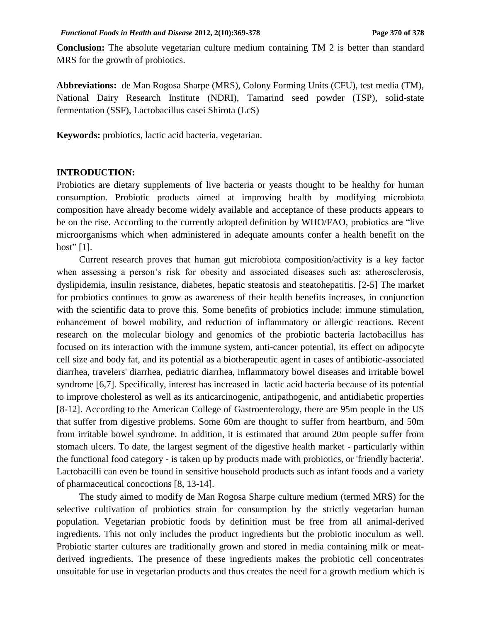**Conclusion:** The absolute vegetarian culture medium containing TM 2 is better than standard MRS for the growth of probiotics.

**Abbreviations:** de Man Rogosa Sharpe (MRS), Colony Forming Units (CFU), test media (TM), National Dairy Research Institute (NDRI), Tamarind seed powder (TSP), solid-state fermentation (SSF), Lactobacillus casei Shirota (LcS)

**Keywords:** probiotics, lactic acid bacteria, vegetarian.

#### **INTRODUCTION:**

Probiotics are dietary supplements of live bacteria or yeasts thought to be healthy for human consumption. Probiotic products aimed at improving health by modifying microbiota composition have already become widely available and acceptance of these products appears to be on the rise. According to the currently adopted definition by WHO/FAO, probiotics are "live microorganisms which when administered in adequate amounts confer a health benefit on the host"  $[1]$ .

Current research proves that human gut microbiota composition/activity is a key factor when assessing a person's risk for obesity and associated diseases such as: atherosclerosis, dyslipidemia, insulin resistance, diabetes, hepatic steatosis and steatohepatitis. [2-5] The market for probiotics continues to grow as awareness of their health benefits increases, in conjunction with the scientific data to prove this. Some benefits of probiotics include: immune stimulation, enhancement of bowel mobility, and reduction of inflammatory or allergic reactions. Recent research on the molecular biology and genomics of the probiotic bacteria lactobacillus has focused on its interaction with the immune system, anti-cancer potential, its effect on adipocyte cell size and body fat, and its potential as a biotherapeutic agent in cases of antibiotic-associated diarrhea, travelers' diarrhea, pediatric diarrhea, inflammatory bowel diseases and irritable bowel syndrome [6,7]. Specifically, interest has increased in lactic acid bacteria because of its potential to improve cholesterol as well as its anticarcinogenic, antipathogenic, and antidiabetic properties [8-12]. According to the American College of Gastroenterology, there are 95m people in the US that suffer from digestive problems. Some 60m are thought to suffer from heartburn, and 50m from irritable bowel syndrome. In addition, it is estimated that around 20m people suffer from stomach ulcers. To date, the largest segment of the digestive health market - particularly within the functional food category - is taken up by products made with probiotics, or 'friendly bacteria'. Lactobacilli can even be found in sensitive household products such as infant foods and a variety of pharmaceutical concoctions [8, 13-14].

The study aimed to modify de Man Rogosa Sharpe culture medium (termed MRS) for the selective cultivation of probiotics strain for consumption by the strictly vegetarian human population. Vegetarian probiotic foods by definition must be free from all animal-derived ingredients. This not only includes the product ingredients but the probiotic inoculum as well. Probiotic starter cultures are traditionally grown and stored in media containing milk or meatderived ingredients. The presence of these ingredients makes the probiotic cell concentrates unsuitable for use in vegetarian products and thus creates the need for a growth medium which is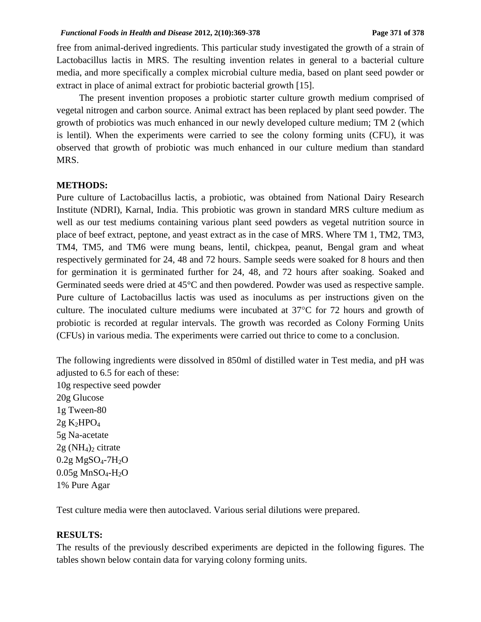free from animal-derived ingredients. This particular study investigated the growth of a strain of Lactobacillus lactis in MRS*.* The resulting invention relates in general to a bacterial culture media, and more specifically a complex microbial culture media, based on plant seed powder or extract in place of animal extract for probiotic bacterial growth [15].

The present invention proposes a probiotic starter culture growth medium comprised of vegetal nitrogen and carbon source. Animal extract has been replaced by plant seed powder. The growth of probiotics was much enhanced in our newly developed culture medium; TM 2 (which is lentil). When the experiments were carried to see the colony forming units (CFU), it was observed that growth of probiotic was much enhanced in our culture medium than standard MRS.

### **METHODS:**

Pure culture of Lactobacillus lactis, a probiotic, was obtained from National Dairy Research Institute (NDRI), Karnal, India. This probiotic was grown in standard MRS culture medium as well as our test mediums containing various plant seed powders as vegetal nutrition source in place of beef extract, peptone, and yeast extract as in the case of MRS. Where TM 1, TM2, TM3, TM4, TM5, and TM6 were mung beans, lentil, chickpea, peanut, Bengal gram and wheat respectively germinated for 24, 48 and 72 hours. Sample seeds were soaked for 8 hours and then for germination it is germinated further for 24, 48, and 72 hours after soaking. Soaked and Germinated seeds were dried at 45°C and then powdered. Powder was used as respective sample. Pure culture of Lactobacillus lactis was used as inoculums as per instructions given on the culture. The inoculated culture mediums were incubated at  $37^{\circ}$ C for 72 hours and growth of probiotic is recorded at regular intervals. The growth was recorded as Colony Forming Units (CFUs) in various media. The experiments were carried out thrice to come to a conclusion.

The following ingredients were dissolved in 850ml of distilled water in Test media, and pH was adjusted to 6.5 for each of these: 10g respective seed powder 20g Glucose 1g Tween-80  $2g K<sub>2</sub>HPO<sub>4</sub>$ 5g Na-acetate  $2g(NH_4)_2$  citrate  $0.2g$  MgSO<sub>4</sub>-7H<sub>2</sub>O  $0.05g$  MnSO<sub>4</sub>-H<sub>2</sub>O 1% Pure Agar

Test culture media were then autoclaved. Various serial dilutions were prepared.

#### **RESULTS:**

The results of the previously described experiments are depicted in the following figures. The tables shown below contain data for varying colony forming units.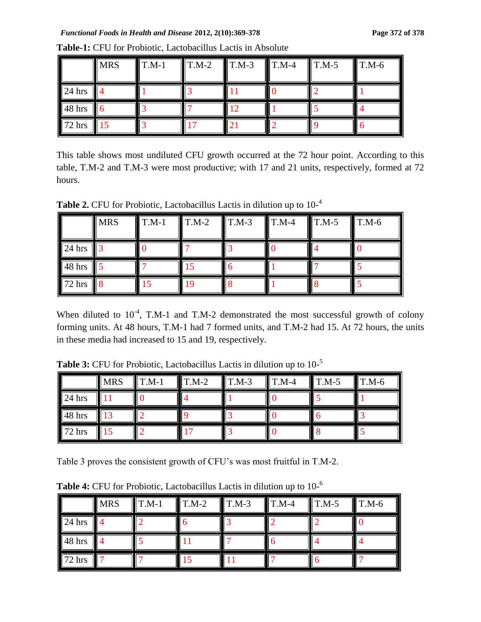|          | <b>MRS</b> | $\prod$ T.M-1 | $T.M-2$ | $T.M-3$ | $\parallel$ T.M-4 | $T.M-5$ | $T.M-6$ |
|----------|------------|---------------|---------|---------|-------------------|---------|---------|
| $24$ hrs |            |               |         |         |                   |         |         |
| 48 hrs   |            |               |         |         |                   |         |         |
| 72 hrs   |            |               |         |         |                   |         |         |

**Table-1:** CFU for Probiotic, Lactobacillus Lactis in Absolute

This table shows most undiluted CFU growth occurred at the 72 hour point. According to this table, T.M-2 and T.M-3 were most productive; with 17 and 21 units, respectively, formed at 72 hours.

Table 2. CFU for Probiotic, Lactobacillus Lactis in dilution up to  $10^{-4}$ 

|                    | <b>MRS</b> | $T.M-1$ | $T.M-2$ | $T.M-3$ | $T.M-4$ | $T.M-5$ | $T.M-6$ |
|--------------------|------------|---------|---------|---------|---------|---------|---------|
| $24$ hrs           |            |         |         |         |         |         |         |
| $\parallel$ 48 hrs |            |         |         |         |         |         |         |
| 72 hrs             |            |         |         |         |         |         |         |

When diluted to  $10^{-4}$ , T.M-1 and T.M-2 demonstrated the most successful growth of colony forming units. At 48 hours, T.M-1 had 7 formed units, and T.M-2 had 15. At 72 hours, the units in these media had increased to 15 and 19, respectively.

**Table 3:** CFU for Probiotic, Lactobacillus Lactis in dilution up to 10- 5

|        | <b>MRS</b>  | $T.M-1$ | $T.M-2$ | $\blacksquare$ T.M-3 | $T.M-4$ | $\blacksquare$ T.M-5 | $\blacksquare$ T.M-6 |
|--------|-------------|---------|---------|----------------------|---------|----------------------|----------------------|
| 24 hrs |             |         |         |                      |         |                      |                      |
| 48 hrs | $1^{\circ}$ |         |         |                      |         |                      |                      |
| 72 hrs |             |         |         |                      |         |                      |                      |

Table 3 proves the consistent growth of CFU's was most fruitful in T.M-2.

Table 4: CFU for Probiotic, Lactobacillus Lactis in dilution up to 10-<sup>6</sup>

|          | <b>MRS</b>     | $T.M-1$ | $\mathbf{T}.\mathbf{M}$ -2 | $T.M-3$ | $\blacksquare$ T.M-4 | $T.M-5$ | $T.M-6$ |
|----------|----------------|---------|----------------------------|---------|----------------------|---------|---------|
| $24$ hrs |                |         |                            |         |                      |         |         |
| 48 hrs   | $\blacksquare$ |         |                            |         |                      |         |         |
| 72 hrs   |                |         |                            |         |                      |         |         |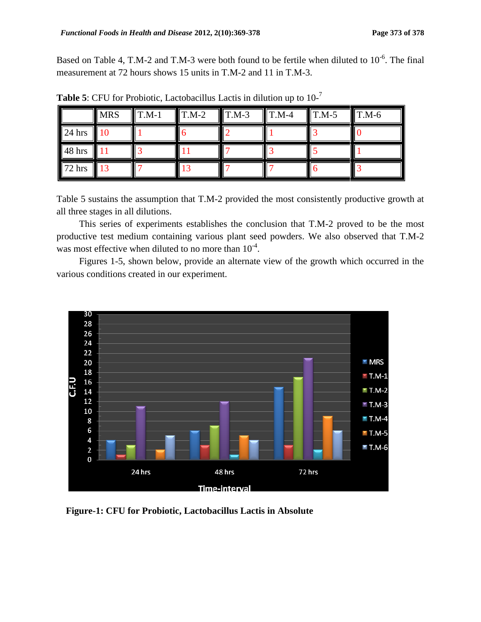Based on Table 4, T.M-2 and T.M-3 were both found to be fertile when diluted to  $10^{-6}$ . The final measurement at 72 hours shows 15 units in T.M-2 and 11 in T.M-3.

|                 | <b>MRS</b>        | $T.M-1$ | $T.M-2$ | $T.M-3$ | $T.M-4$ | $T.M-5$ | $T.M-6$ |
|-----------------|-------------------|---------|---------|---------|---------|---------|---------|
| $24$ hrs        | $\blacksquare$ 10 |         |         |         |         |         |         |
| $\sqrt{48}$ hrs |                   |         |         |         |         |         |         |
| $72$ hrs        | $\blacksquare$ 13 |         |         |         |         |         |         |

Table 5: CFU for Probiotic, Lactobacillus Lactis in dilution up to  $10^{-7}$ 

Table 5 sustains the assumption that T.M-2 provided the most consistently productive growth at all three stages in all dilutions.

This series of experiments establishes the conclusion that T.M-2 proved to be the most productive test medium containing various plant seed powders. We also observed that T.M-2 was most effective when diluted to no more than  $10^{-4}$ .

Figures 1-5, shown below, provide an alternate view of the growth which occurred in the various conditions created in our experiment.



 **Figure-1: CFU for Probiotic, Lactobacillus Lactis in Absolute**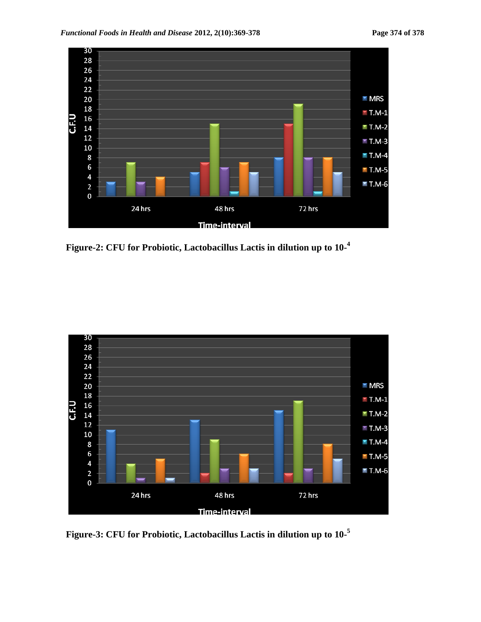

 **Figure-2: CFU for Probiotic, Lactobacillus Lactis in dilution up to 10- 4** 



 **Figure-3: CFU for Probiotic, Lactobacillus Lactis in dilution up to 10- 5**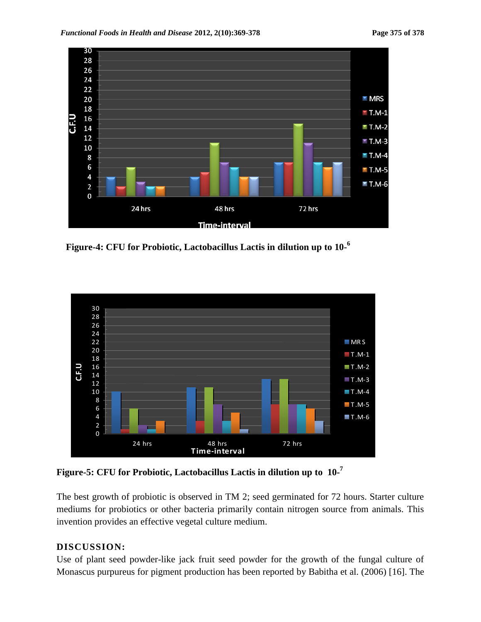

 **Figure-4: CFU for Probiotic, Lactobacillus Lactis in dilution up to 10- 6** 



**Figure-5: CFU for Probiotic, Lactobacillus Lactis in dilution up to 10- 7** 

The best growth of probiotic is observed in TM 2; seed germinated for 72 hours. Starter culture mediums for probiotics or other bacteria primarily contain nitrogen source from animals. This invention provides an effective vegetal culture medium.

# **DISCUSSION:**

Use of plant seed powder-like jack fruit seed powder for the growth of the fungal culture of Monascus purpureus for pigment production has been reported by Babitha et al. (2006) [16]. The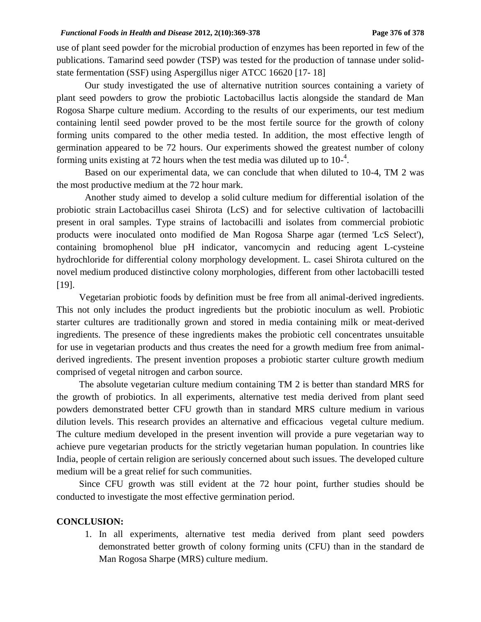use of plant seed powder for the microbial production of enzymes has been reported in few of the publications. Tamarind seed powder (TSP) was tested for the production of tannase under solidstate fermentation (SSF) using Aspergillus niger ATCC 16620 [17- 18]

Our study investigated the use of alternative nutrition sources containing a variety of plant seed powders to grow the probiotic Lactobacillus lactis alongside the standard de Man Rogosa Sharpe culture medium. According to the results of our experiments, our test medium containing lentil seed powder proved to be the most fertile source for the growth of colony forming units compared to the other media tested. In addition, the most effective length of germination appeared to be 72 hours. Our experiments showed the greatest number of colony forming units existing at 72 hours when the test media was diluted up to  $10^{-4}$ .

Based on our experimental data, we can conclude that when diluted to 10-4, TM 2 was the most productive medium at the 72 hour mark.

Another study aimed to develop a solid culture medium for differential isolation of the probiotic strain Lactobacillus casei Shirota (LcS) and for selective cultivation of lactobacilli present in oral samples. Type strains of lactobacilli and isolates from commercial probiotic products were inoculated onto modified de Man Rogosa Sharpe agar (termed 'LcS Select'), containing bromophenol blue pH indicator, vancomycin and reducing agent L-cysteine hydrochloride for differential colony morphology development. L. casei Shirota cultured on the novel medium produced distinctive colony morphologies, different from other lactobacilli tested [19].

Vegetarian probiotic foods by definition must be free from all animal-derived ingredients. This not only includes the product ingredients but the probiotic inoculum as well. Probiotic starter cultures are traditionally grown and stored in media containing milk or meat-derived ingredients. The presence of these ingredients makes the probiotic cell concentrates unsuitable for use in vegetarian products and thus creates the need for a growth medium free from animalderived ingredients. The present invention proposes a probiotic starter culture growth medium comprised of vegetal nitrogen and carbon source.

The absolute vegetarian culture medium containing TM 2 is better than standard MRS for the growth of probiotics. In all experiments, alternative test media derived from plant seed powders demonstrated better CFU growth than in standard MRS culture medium in various dilution levels. This research provides an alternative and efficacious vegetal culture medium. The culture medium developed in the present invention will provide a pure vegetarian way to achieve pure vegetarian products for the strictly vegetarian human population. In countries like India, people of certain religion are seriously concerned about such issues. The developed culture medium will be a great relief for such communities.

Since CFU growth was still evident at the 72 hour point, further studies should be conducted to investigate the most effective germination period.

#### **CONCLUSION:**

1. In all experiments, alternative test media derived from plant seed powders demonstrated better growth of colony forming units (CFU) than in the standard de Man Rogosa Sharpe (MRS) culture medium.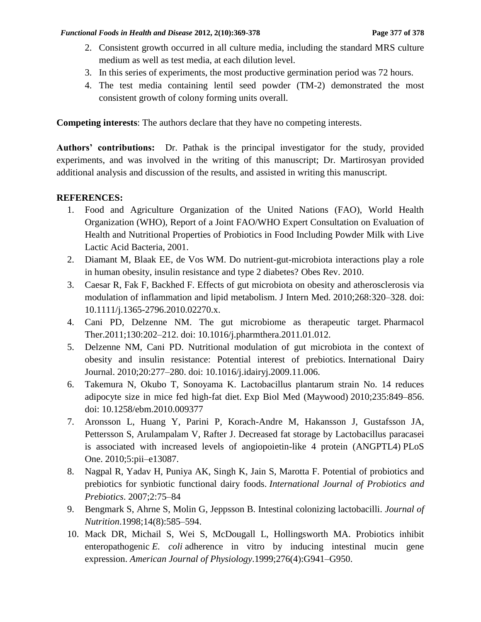- 2. Consistent growth occurred in all culture media, including the standard MRS culture medium as well as test media, at each dilution level.
- 3. In this series of experiments, the most productive germination period was 72 hours.
- 4. The test media containing lentil seed powder (TM-2) demonstrated the most consistent growth of colony forming units overall.

**Competing interests**: The authors declare that they have no competing interests.

**Authors' contributions:** Dr. Pathak is the principal investigator for the study, provided experiments, and was involved in the writing of this manuscript; Dr. Martirosyan provided additional analysis and discussion of the results, and assisted in writing this manuscript.

## **REFERENCES:**

- 1. Food and Agriculture Organization of the United Nations (FAO), World Health Organization (WHO), Report of a Joint FAO/WHO Expert Consultation on Evaluation of Health and Nutritional Properties of Probiotics in Food Including Powder Milk with Live Lactic Acid Bacteria, 2001.
- 2. Diamant M, Blaak EE, de Vos WM. Do nutrient-gut-microbiota interactions play a role in human obesity, insulin resistance and type 2 diabetes? Obes Rev. 2010.
- 3. Caesar R, Fak F, Backhed F. Effects of gut microbiota on obesity and atherosclerosis via modulation of inflammation and lipid metabolism. J Intern Med. 2010;268:320–328. doi: 10.1111/j.1365-2796.2010.02270.x.
- 4. Cani PD, Delzenne NM. The gut microbiome as therapeutic target. Pharmacol Ther.2011;130:202–212. doi: 10.1016/j.pharmthera.2011.01.012.
- 5. Delzenne NM, Cani PD. Nutritional modulation of gut microbiota in the context of obesity and insulin resistance: Potential interest of prebiotics. International Dairy Journal. 2010;20:277–280. doi: 10.1016/j.idairyj.2009.11.006.
- 6. Takemura N, Okubo T, Sonoyama K. Lactobacillus plantarum strain No. 14 reduces adipocyte size in mice fed high-fat diet. Exp Biol Med (Maywood) 2010;235:849–856. doi: 10.1258/ebm.2010.009377
- 7. Aronsson L, Huang Y, Parini P, Korach-Andre M, Hakansson J, Gustafsson JA, Pettersson S, Arulampalam V, Rafter J. Decreased fat storage by Lactobacillus paracasei is associated with increased levels of angiopoietin-like 4 protein (ANGPTL4) PLoS One. 2010;5:pii–e13087.
- 8. Nagpal R, Yadav H, Puniya AK, Singh K, Jain S, Marotta F. Potential of probiotics and prebiotics for synbiotic functional dairy foods. *International Journal of Probiotics and Prebiotics*. 2007;2:75–84
- 9. Bengmark S, Ahrne S, Molin G, Jeppsson B. Intestinal colonizing lactobacilli. *Journal of Nutrition*.1998;14(8):585–594.
- 10. Mack DR, Michail S, Wei S, McDougall L, Hollingsworth MA. Probiotics inhibit enteropathogenic *E. coli* adherence in vitro by inducing intestinal mucin gene expression. *American Journal of Physiology*.1999;276(4):G941–G950.